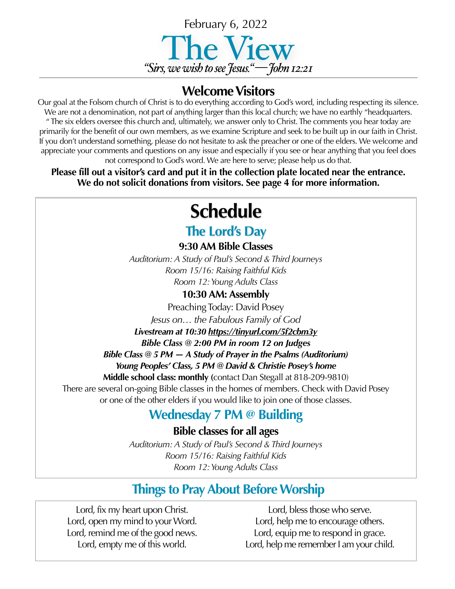

### **Welcome Visitors**

Our goal at the Folsom church of Christ is to do everything according to God's word, including respecting its silence. We are not a denomination, not part of anything larger than this local church; we have no earthly "headquarters. " The six elders oversee this church and, ultimately, we answer only to Christ. The comments you hear today are primarily for the benefit of our own members, as we examine Scripture and seek to be built up in our faith in Christ. If you don't understand something, please do not hesitate to ask the preacher or one of the elders. We welcome and appreciate your comments and questions on any issue and especially if you see or hear anything that you feel does not correspond to God's word. We are here to serve; please help us do that.

**Please fill out a visitor's card and put it in the collection plate located near the entrance. We do not solicit donations from visitors. See page 4 for more information.**

# **Schedule**

## **The Lord's Day**

**9:30 AM Bible Classes**

*Auditorium: A Study of Paul's Second & Third Journeys Room 15/16: Raising Faithful Kids Room 12: Young Adults Class*

### **10:30 AM: Assembly**

Preaching Today: David Posey

*Jesus on… the Fabulous Family of God*

*Livestream at 10:30 <https://tinyurl.com/5f2cbm3y>*

*Bible Class @ 2:00 PM in room 12 on Judges*

*Bible Class @ 5 PM — A Study of Prayer in the Psalms (Auditorium)*

*Young Peoples' Class, 5 PM @ David & Christie Posey's home* 

**Middle school class: monthly (**contact Dan Stegall at 818-209-9810) There are several on-going Bible classes in the homes of members. Check with David Posey or one of the other elders if you would like to join one of those classes.

## **Wednesday 7 PM @ Building**

**Bible classes for all ages**

*Auditorium: A Study of Paul's Second & Third Journeys Room 15/16: Raising Faithful Kids Room 12: Young Adults Class*

# **Things to Pray About Before Worship**

Lord, fix my heart upon Christ. Lord, open my mind to your Word. Lord, remind me of the good news. Lord, empty me of this world.

Lord, bless those who serve. Lord, help me to encourage others. Lord, equip me to respond in grace. Lord, help me remember I am your child.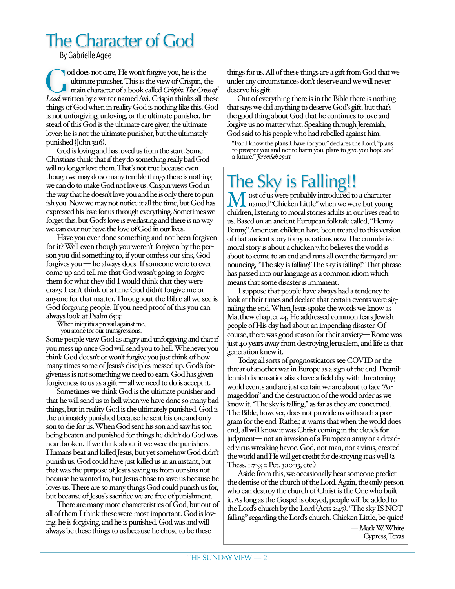# The Character of God

By Gabrielle Agee

od does not care, He won't forgive you, he is the ultimate punisher. This is the view of Crispin, the channel main character of a book called Crispin: The Cro. ultimate punisher. This is the view of Crispin, the main character of a book called *Crispin: The Cross of Lead,* written by a writer named Avi. Crispin thinks all these things of God when in reality God is nothing like this. God is not unforgiving, unloving, or the ultimate punisher. Instead of this God is the ultimate care giver, the ultimate lover; he is not the ultimate punisher, but the ultimately punished (John 3:16).

God is loving and has loved us from the start. Some Christians think that if they do something really bad God will no longer love them. That's not true because even though we may do so many terrible things there is nothing we can do to make God not love us. Crispin views God in the way that he doesn't love you and he is only there to punish you. Now we may not notice it all the time, but God has expressed his love for us through everything. Sometimes we forget this, but God's love is everlasting and there is no way we can ever not have the love of God in our lives.

Have you ever done something and not been forgiven for it? Well even though you weren't forgiven by the person you did something to, if your confess our sins, God forgives you — he always does. If someone were to ever come up and tell me that God wasn't going to forgive them for what they did I would think that they were crazy. I can't think of a time God didn't forgive me or anyone for that matter. Throughout the Bible all we see is God forgiving people. If you need proof of this you can always look at Psalm 65:3:

you atone for our transgressions.

Some people view God as angry and unforgiving and that if you mess up once God will send you to hell. Whenever you think God doesn't or won't forgive you just think of how many times some of Jesus's disciples messed up. God's forgiveness is not something we need to earn. God has given forgiveness to us as a gift — all we need to do is accept it.

Sometimes we think God is the ultimate punisher and that he will send us to hell when we have done so many bad things, but in reality God is the ultimately punished. God is the ultimately punished because he sent his one and only son to die for us. When God sent his son and saw his son being beaten and punished for things he didn't do God was heartbroken. If we think about it we were the punishers. Humans beat and killed Jesus, but yet somehow God didn't punish us. God could have just killed us in an instant, but that was the purpose of Jesus saving us from our sins not because he wanted to, but Jesus chose to save us because he loves us. There are so many things God could punish us for, but because of Jesus's sacrifice we are free of punishment.

There are many more characteristics of God, but out of all of them I think these were most important. God is loving, he is forgiving, and he is punished. God was and will always be these things to us because he chose to be these

things for us. All of these things are a gift from God that we under any circumstances don't deserve and we will never deserve his gift.

Out of everything there is in the Bible there is nothing that says we did anything to deserve God's gift, but that's the good thing about God that he continues to love and forgive us no matter what. Speaking through Jeremiah, God said to his people who had rebelled against him,

"For I know the plans I have for you," declares the Lord, "plans to prosper you and not to harm you, plans to give you hope and a future." *Jeremiah 29:11*

# The Sky is Falling!!<br>M ost of us were probably introduced to a character

Most of us were probably introduced to a character<br>
named "Chicken Little" when we were but young<br>
a bildere litteries to group to give a delta in quality and children, listening to moral stories adults in our lives read to us. Based on an ancient European folktale called, "Henny Penny," American children have been treated to this version of that ancient story for generations now. The cumulative moral story is about a chicken who believes the world is about to come to an end and runs all over the farmyard announcing, "The sky is falling! The sky is falling!" That phrase has passed into our language as a common idiom which means that some disaster is imminent.

I suppose that people have always had a tendency to look at their times and declare that certain events were signaling the end. When Jesus spoke the words we know as Matthew chapter 24, He addressed common fears Jewish people of His day had about an impending disaster. Of course, there was good reason for their anxiety— Rome was just 40 years away from destroying Jerusalem, and life as that generation knew it.

Today, all sorts of prognosticators see COVID or the threat of another war in Europe as a sign of the end. Premillennial dispensationalists have a field day with threatening world events and are just certain we are about to face "Armageddon" and the destruction of the world order as we know it. "The sky is falling," as far as they are concerned. The Bible, however, does not provide us with such a program for the end. Rather, it warns that when the world does end, all will know it was Christ coming in the clouds for judgment— not an invasion of a European army or a dreaded virus wreaking havoc. God, not man, nor a virus, created the world and He will get credit for destroying it as well (2 Thess. 1:7-9; 2 Pet. 3:10-13, etc.)

Aside from this, we occasionally hear someone predict the demise of the church of the Lord. Again, the only person who can destroy the church of Christ is the One who built it. As long as the Gospel is obeyed, people will be added to the Lord's church by the Lord (Acts 2:47). "The sky IS NOT falling" regarding the Lord's church. Chicken Little, be quiet!

> — Mark W. White Cypress, Texas